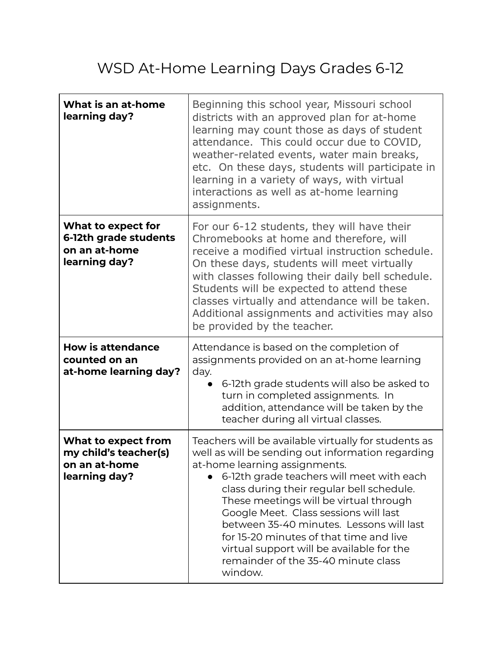## WSD At-Home Learning Days Grades 6-12

| What is an at-home<br>learning day?                                            | Beginning this school year, Missouri school<br>districts with an approved plan for at-home<br>learning may count those as days of student<br>attendance. This could occur due to COVID,<br>weather-related events, water main breaks,<br>etc. On these days, students will participate in<br>learning in a variety of ways, with virtual<br>interactions as well as at-home learning<br>assignments.                                                                                                          |
|--------------------------------------------------------------------------------|---------------------------------------------------------------------------------------------------------------------------------------------------------------------------------------------------------------------------------------------------------------------------------------------------------------------------------------------------------------------------------------------------------------------------------------------------------------------------------------------------------------|
| What to expect for<br>6-12th grade students<br>on an at-home<br>learning day?  | For our 6-12 students, they will have their<br>Chromebooks at home and therefore, will<br>receive a modified virtual instruction schedule.<br>On these days, students will meet virtually<br>with classes following their daily bell schedule.<br>Students will be expected to attend these<br>classes virtually and attendance will be taken.<br>Additional assignments and activities may also<br>be provided by the teacher.                                                                               |
| <b>How is attendance</b><br>counted on an<br>at-home learning day?             | Attendance is based on the completion of<br>assignments provided on an at-home learning<br>day.<br>6-12th grade students will also be asked to<br>turn in completed assignments. In<br>addition, attendance will be taken by the<br>teacher during all virtual classes.                                                                                                                                                                                                                                       |
| What to expect from<br>my child's teacher(s)<br>on an at-home<br>learning day? | Teachers will be available virtually for students as<br>well as will be sending out information regarding<br>at-home learning assignments.<br>6-12th grade teachers will meet with each<br>class during their regular bell schedule.<br>These meetings will be virtual through<br>Google Meet. Class sessions will last<br>between 35-40 minutes. Lessons will last<br>for 15-20 minutes of that time and live<br>virtual support will be available for the<br>remainder of the 35-40 minute class<br>window. |